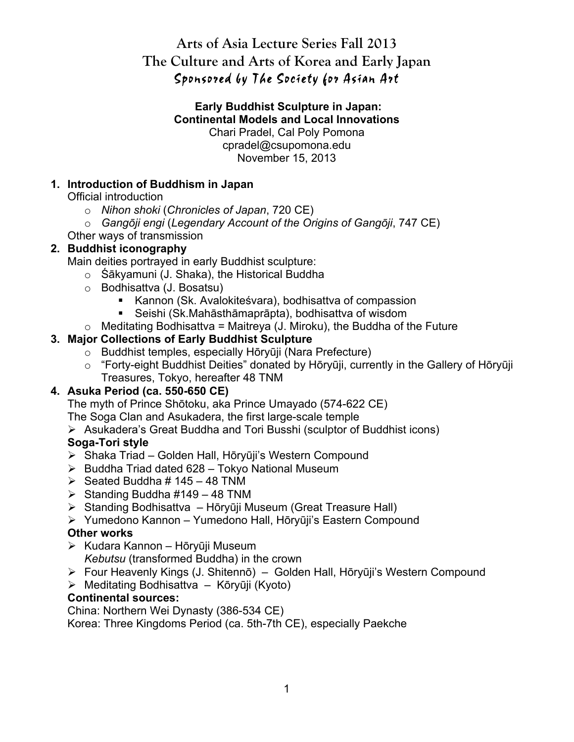# **Arts of Asia Lecture Series Fall 2013 The Culture and Arts of Korea and Early Japan** Sponsored by The Society for Asian Art

#### **Early Buddhist Sculpture in Japan: Continental Models and Local Innovations** Chari Pradel, Cal Poly Pomona cpradel@csupomona.edu November 15, 2013

# **1. Introduction of Buddhism in Japan**

Official introduction

- o *Nihon shoki* (*Chronicles of Japan*, 720 CE)
- o *Gangōji engi* (*Legendary Account of the Origins of Gangōji*, 747 CE)
- Other ways of transmission

# **2. Buddhist iconography**

Main deities portrayed in early Buddhist sculpture:

- o Śākyamuni (J. Shaka), the Historical Buddha
- o Bodhisattva (J. Bosatsu)
	- Kannon (Sk. Avalokiteśvara), bodhisattva of compassion
	- Seishi (Sk.Mahāsthāmaprāpta), bodhisattva of wisdom
- $\circ$  Meditating Bodhisattva = Maitreya (J. Miroku), the Buddha of the Future

# **3. Major Collections of Early Buddhist Sculpture**

- o Buddhist temples, especially Hōryūji (Nara Prefecture)
- o "Forty-eight Buddhist Deities" donated by Hōryūji, currently in the Gallery of Hōryūji Treasures, Tokyo, hereafter 48 TNM

### **4. Asuka Period (ca. 550-650 CE)**

The myth of Prince Shōtoku, aka Prince Umayado (574-622 CE)

The Soga Clan and Asukadera, the first large-scale temple

Asukadera's Great Buddha and Tori Busshi (sculptor of Buddhist icons)

# **Soga-Tori style**

- ▶ Shaka Triad Golden Hall, Hōryūji's Western Compound
- $\triangleright$  Buddha Triad dated 628 Tokyo National Museum
- $\geq$  Seated Buddha # 145 48 TNM
- $\triangleright$  Standing Buddha #149 48 TNM
- $\triangleright$  Standing Bodhisattva Hōryūji Museum (Great Treasure Hall)
- Yumedono Kannon Yumedono Hall, Hōryūji's Eastern Compound

### **Other works**

- $\triangleright$  Kudara Kannon Hōryūji Museum *Kebutsu* (transformed Buddha) in the crown
- Four Heavenly Kings (J. Shitennō) Golden Hall, Hōryūji's Western Compound
- $\triangleright$  Meditating Bodhisattva Kōryūji (Kyoto)

### **Continental sources:**

China: Northern Wei Dynasty (386-534 CE)

Korea: Three Kingdoms Period (ca. 5th-7th CE), especially Paekche